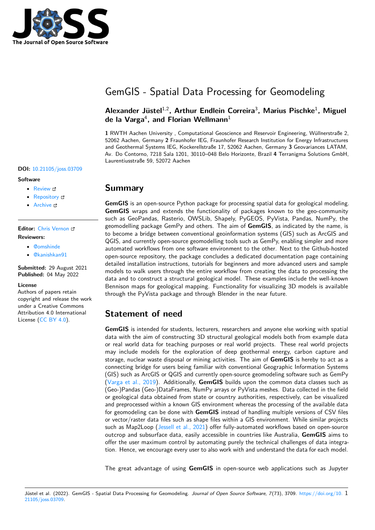

# GemGIS - Spatial Data Processing for Geomodeling

## **Alexander Jüstel**1,2**, Arthur Endlein Correira**<sup>3</sup> **, Marius Pischke**<sup>1</sup> **, Miguel de la Varga**<sup>4</sup> **, and Florian Wellmann**<sup>1</sup>

**1** RWTH Aachen University , Computational Geoscience and Reservoir Engineering, Wüllnerstraße 2, 52062 Aachen, Germany **2** Fraunhofer IEG, Fraunhofer Research Institution for Energy Infrastructures and Geothermal Systems IEG, Kockerellstraße 17, 52062 Aachen, Germany **3** Geovariances LATAM, Av. Do Contorno, 7218 Sala 1201, 30110–048 Belo Horizonte, Brazil **4** Terranigma Solutions GmbH, Laurentiusstraße 59, 52072 Aachen

### **DOI:** [10.21105/joss.03709](https://doi.org/10.21105/joss.03709)

#### **Software**

- [Review](https://github.com/openjournals/joss-reviews/issues/3709) &
- [Repository](https://github.com/cgre-aachen/gemgis) C
- [Archive](https://doi.org/10.5281/zenodo.6511767) c

### **Editor:** [Chris Vernon](https://energyenvironment.pnnl.gov/staff/staff_info.asp?staff_num=1834) **Reviewers:**

- [@omshinde](https://github.com/omshinde)
- [@kanishkan91](https://github.com/kanishkan91)

**Submitted:** 29 August 2021 **Published:** 04 May 2022

#### **License**

Authors of papers retain copyright and release the work under a Creative Commons Attribution 4.0 International License [\(CC BY 4.0\)](https://creativecommons.org/licenses/by/4.0/).

### **Summary**

**GemGIS** is an open-source Python package for processing spatial data for geological modeling. **GemGIS** wraps and extends the functionality of packages known to the geo-community such as GeoPandas, Rasterio, OWSLib, Shapely, PyGEOS, PyVista, Pandas, NumPy, the geomodelling package GemPy and others. The aim of **GemGIS**, as indicated by the name, is to become a bridge between conventional geoinformation systems (GIS) such as ArcGIS and QGIS, and currently open-source geomodelling tools such as GemPy, enabling simpler and more automated workflows from one software environment to the other. Next to the Github-hosted open-source repository, the package concludes a dedicated documentation page containing detailed installation instructions, tutorials for beginners and more advanced users and sample models to walk users through the entire workflow from creating the data to processing the data and to construct a structural geological model. These examples include the well-known Bennison maps for geological mapping. Functionality for visualizing 3D models is available through the PyVista package and through Blender in the near future.

# **Statement of need**

**GemGIS** is intended for students, lecturers, researchers and anyone else working with spatial data with the aim of constructing 3D structural geological models both from example data or real world data for teaching purposes or real world projects. These real world projects may include models for the exploration of deep geothermal energy, carbon capture and storage, nuclear waste disposal or mining activities. The aim of **GemGIS** is hereby to act as a connecting bridge for users being familiar with conventional Geographic Information Systems (GIS) such as ArcGIS or QGIS and currently open-source geomodeling software such as GemPy [\(Varga et al., 2019\)](#page-3-0). Additionally, **GemGIS** builds upon the common data classes such as (Geo-)Pandas (Geo-)DataFrames, NumPy arrays or PyVista meshes. Data collected in the field or geological data obtained from state or country authorities, respectively, can be visualized and preprocessed within a known GIS environment whereas the processing of the available data for geomodeling can be done with **GemGIS** instead of handling multiple versions of CSV files or vector/raster data files such as shape files within a GIS environment. While similar projects such as Map2Loop [\(Jessell et al., 2021\)](#page-3-1) offer fully-automated workflows based on open-source outcrop and subsurface data, easily accessible in countries like Australia, **GemGIS** aims to offer the user maximum control by automating purely the technical challenges of data integration. Hence, we encourage every user to also work with and understand the data for each model.

The great advantage of using **GemGIS** in open-source web applications such as Jupyter

Jüstel et al. (2022). GemGIS - Spatial Data Processing for Geomodeling. Journal of Open Source Software, 7(73), 3709. [https://doi.org/10.](https://doi.org/10.21105/joss.03709) 1 [21105/joss.03709.](https://doi.org/10.21105/joss.03709)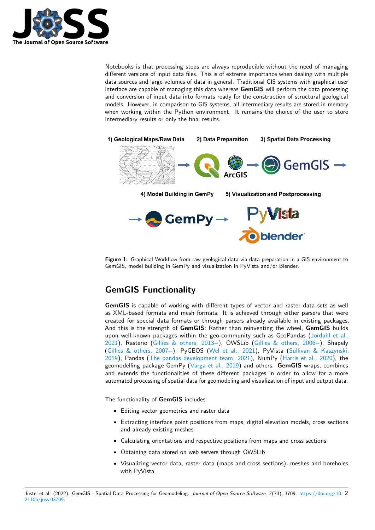

Notebooks is that processing steps are always reproducible without the need of managing different versions of input data files. This is of extreme importance when dealing with multiple data sources and large volumes of data in general. Traditional GIS systems with graphical user interface are capable of managing this data whereas **GemGIS** will perform the data processing and conversion of input data into formats ready for the construction of structural geological models. However, in comparison to GIS systems, all intermediary results are stored in memory when working within the Python environment. It remains the choice of the user to store intermediary results or only the final results.



Figure 1: Graphical Workflow from raw geological data via data preparation in a GIS environment to GemGIS, model building in GemPy and visualization in PyVista and/or Blender.

# **GemGIS Functionality**

**GemGIS** is capable of working with different types of vector and raster data sets as well as XML-based formats and mesh formats. It is achieved through either parsers that were created for special data formats or through parsers already available in existing packages. And this is the strength of **GemGIS**: Rather than reinventing the wheel, **GemGIS** builds upon well-known packages within the geo-community such as GeoPandas [\(Jordahl et al.,](#page-3-2) [2021\)](#page-3-2), Rasterio [\(Gillies & others, 2013--\)](#page-3-3), OWSLib [\(Gillies & others, 2006--\)](#page-3-4), Shapely [\(Gillies & others, 2007--\)](#page-3-5), PyGEOS [\(Wel et al., 2021\)](#page-3-6), PyVista [\(Sullivan & Kaszynski,](#page-3-7) [2019\)](#page-3-7), Pandas [\(The pandas development team, 2021\)](#page-3-8), NumPy [\(Harris et al., 2020\)](#page-3-9), the geomodelling package GemPy [\(Varga et al., 2019\)](#page-3-0) and others. **GemGIS** wraps, combines and extends the functionalities of these different packages in order to allow for a more automated processing of spatial data for geomodeling and visualization of input and output data.

The functionality of **GemGIS** includes:

- Editing vector geometries and raster data
- Extracting interface point positions from maps, digital elevation models, cross sections and already existing meshes
- Calculating orientations and respective positions from maps and cross sections
- Obtaining data stored on web servers through OWSLib
- Visualizing vector data, raster data (maps and cross sections), meshes and boreholes with PyVista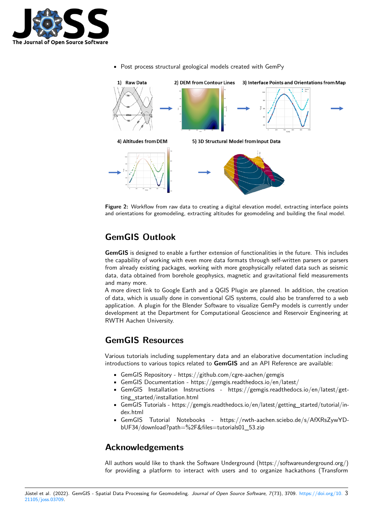



• Post process structural geological models created with GemPy

**Figure 2:** Workflow from raw data to creating a digital elevation model, extracting interface points and orientations for geomodeling, extracting altitudes for geomodeling and building the final model.

# **GemGIS Outlook**

**GemGIS** is designed to enable a further extension of functionalities in the future. This includes the capability of working with even more data formats through self-written parsers or parsers from already existing packages, working with more geophysically related data such as seismic data, data obtained from borehole geophysics, magnetic and gravitational field measurements and many more.

A more direct link to Google Earth and a QGIS Plugin are planned. In addition, the creation of data, which is usually done in conventional GIS systems, could also be transferred to a web application. A plugin for the Blender Software to visualize GemPy models is currently under development at the Department for Computational Geoscience and Reservoir Engineering at RWTH Aachen University.

# **GemGIS Resources**

Various tutorials including supplementary data and an elaborative documentation including introductions to various topics related to **GemGIS** and an API Reference are available:

- GemGIS Repository https://github.com/cgre-aachen/gemgis
- GemGIS Documentation https://gemgis.readthedocs.io/en/latest/
- GemGIS Installation Instructions https://gemgis.readthedocs.io/en/latest/getting\_started/installation.html
- GemGIS Tutorials https://gemgis.readthedocs.io/en/latest/getting\_started/tutorial/index.html
- GemGIS Tutorial Notebooks https://rwth-aachen.sciebo.de/s/AfXRsZywYDbUF34/download?path=%2F&files=tutorials01\_53.zip

### **Acknowledgements**

All authors would like to thank the Software Underground (https://softwareunderground.org/) for providing a platform to interact with users and to organize hackathons (Transform